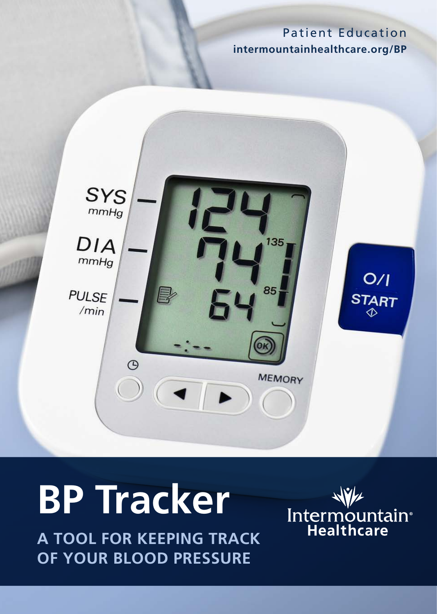#### Patient Education **[intermountainhealthcare.org/BP](http://intermountainhealthcare.org/BP)**



# **BP Tracker**

**A TOOL FOR KEEPING TRACK OF YOUR BLOOD PRESSURE**

Intermountain<br>Healthcare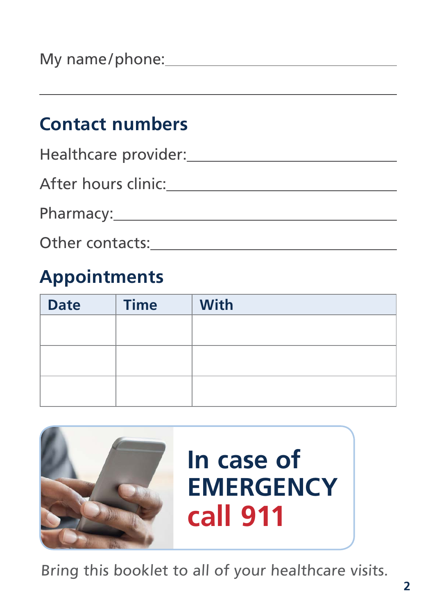### **Contact numbers**

| Healthcare provider: |
|----------------------|
| After hours clinic:  |
| Pharmacy:________    |
| Other contacts:      |

### **Appointments**

| <b>Date</b> | <b>Time</b> | With |
|-------------|-------------|------|
|             |             |      |
|             |             |      |
|             |             |      |
|             |             |      |
|             |             |      |



Bring this booklet to all of your healthcare visits.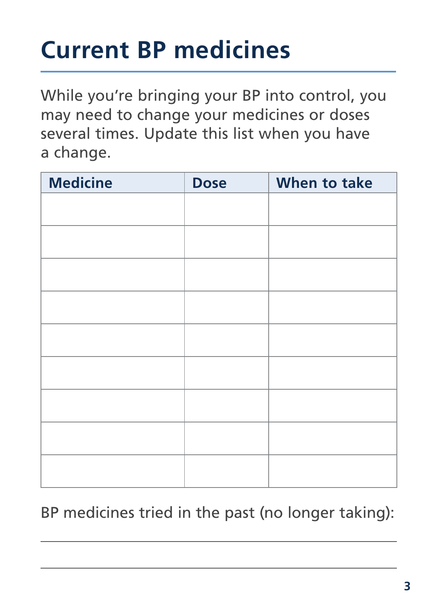## **Current BP medicines**

While you're bringing your BP into control, you may need to change your medicines or doses several times. Update this list when you have a change.

| <b>Medicine</b> | <b>Dose</b> | When to take |
|-----------------|-------------|--------------|
|                 |             |              |
|                 |             |              |
|                 |             |              |
|                 |             |              |
|                 |             |              |
|                 |             |              |
|                 |             |              |
|                 |             |              |
|                 |             |              |
|                 |             |              |
|                 |             |              |
|                 |             |              |
|                 |             |              |
|                 |             |              |
|                 |             |              |

### BP medicines tried in the past (no longer taking):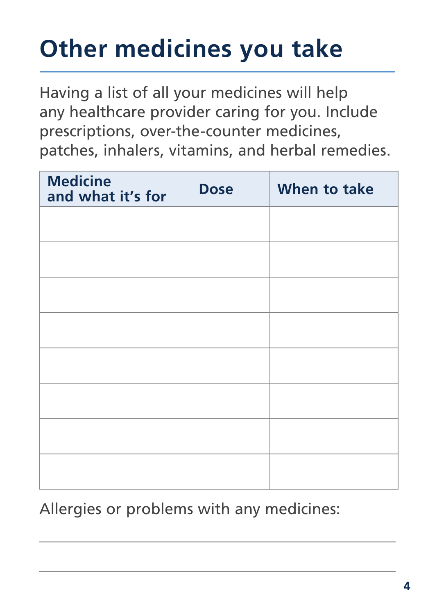## **Other medicines you take**

Having a list of all your medicines will help any healthcare provider caring for you. Include prescriptions, over-the-counter medicines, patches, inhalers, vitamins, and herbal remedies.

| <b>Medicine</b><br>and what it's for | <b>Dose</b> | When to take |
|--------------------------------------|-------------|--------------|
|                                      |             |              |
|                                      |             |              |
|                                      |             |              |
|                                      |             |              |
|                                      |             |              |
|                                      |             |              |
|                                      |             |              |
|                                      |             |              |

Allergies or problems with any medicines: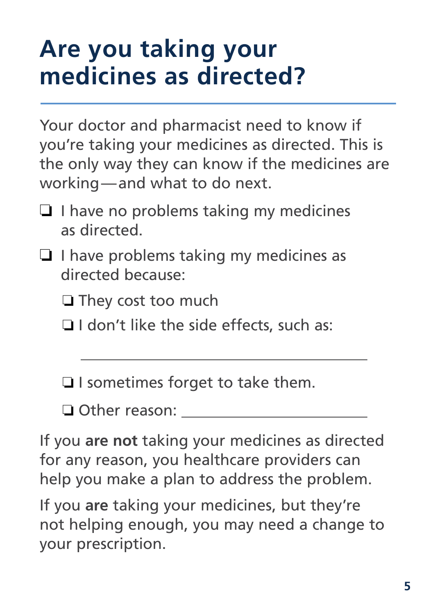### **Are you taking your medicines as directed?**

Your doctor and pharmacist need to know if you're taking your medicines as directed. This is the only way they can know if the medicines are working—and what to do next.

- $\Box$  I have no problems taking my medicines as directed.
- $\Box$  I have problems taking my medicines as directed because:

 $\Box$  They cost too much

 $\Box$  I don't like the side effects, such as:

 $\Box$  I sometimes forget to take them.

**□ Other reason:** 

If you **are not** taking your medicines as directed for any reason, you healthcare providers can help you make a plan to address the problem.

If you **are** taking your medicines, but they're not helping enough, you may need a change to your prescription.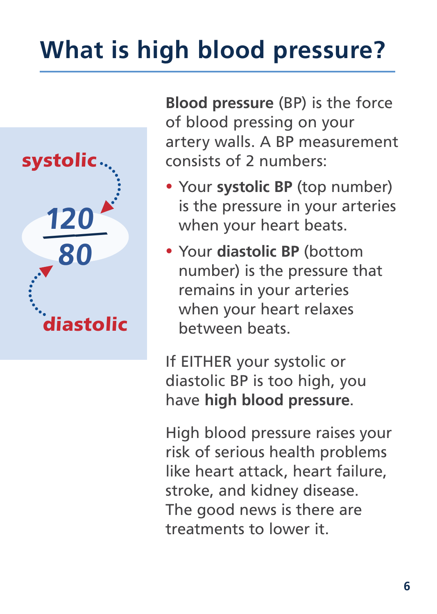## **What is high blood pressure?**



**Blood pressure** (BP) is the force of blood pressing on your artery walls. A BP measurement consists of 2 numbers:

- Your **systolic BP** (top number) is the pressure in your arteries when your heart beats.
- Your **diastolic BP** (bottom number) is the pressure that remains in your arteries when your heart relaxes between beats.

If EITHER your systolic or diastolic BP is too high, you have **high blood pressure**.

High blood pressure raises your risk of serious health problems like heart attack, heart failure, stroke, and kidney disease. The good news is there are treatments to lower it.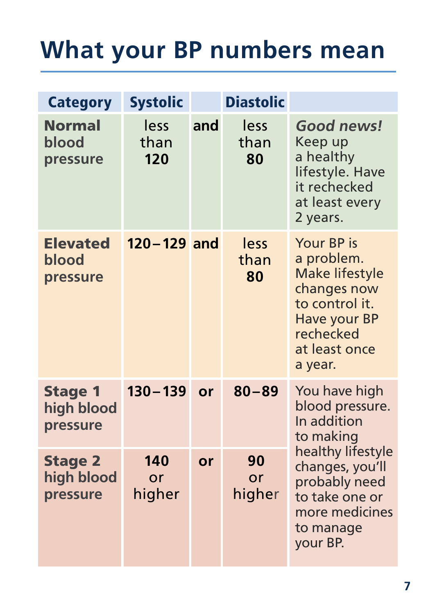## **What your BP numbers mean**

| <b>Category</b>                          | <b>Systolic</b>     |     | <b>Diastolic</b>   |                                                                                                                                             |
|------------------------------------------|---------------------|-----|--------------------|---------------------------------------------------------------------------------------------------------------------------------------------|
| <b>Normal</b><br>blood<br>pressure       | less<br>than<br>120 | and | less<br>than<br>80 | Good news!<br>Keep up<br>a healthy<br>lifestyle. Have<br>it rechecked<br>at least every<br>2 years.                                         |
| <b>Elevated</b><br>blood<br>pressure     | $120 - 129$ and     |     | less<br>than<br>80 | Your BP is<br>a problem.<br><b>Make lifestyle</b><br>changes now<br>to control it.<br>Have your BP<br>rechecked<br>at least once<br>a year. |
| <b>Stage 1</b><br>high blood<br>pressure | $130 - 139$         | or  | $80 - 89$          | You have high<br>blood pressure.<br>In addition<br>to making                                                                                |
| <b>Stage 2</b><br>high blood<br>pressure | 140<br>or<br>higher | or  | 90<br>or<br>higher | healthy lifestyle<br>changes, you'll<br>probably need<br>to take one or<br>more medicines<br>to manage<br>your BP.                          |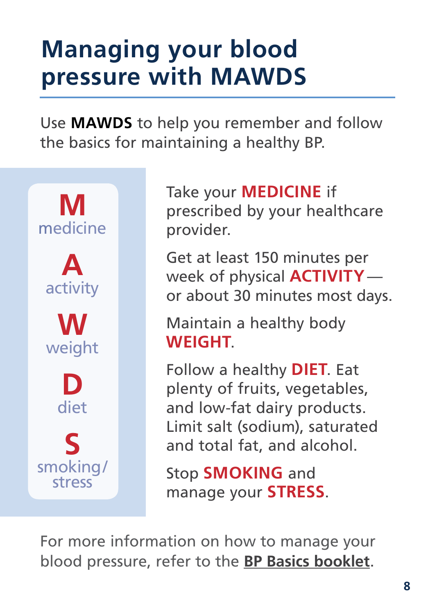### **Managing your blood pressure with MAWDS**

Use **MAWDS** to help you remember and follow the basics for maintaining a healthy BP.



Take your **MEDICINE** if prescribed by your healthcare provider.

Get at least 150 minutes per week of physical **ACTIVITY** or about 30 minutes most days.

Maintain a healthy body **WEIGHT**.

Follow a healthy **DIET**. Eat plenty of fruits, vegetables, and low-fat dairy products. Limit salt (sodium), saturated and total fat, and alcohol.

Stop **SMOKING** and manage your **STRESS**.

For more information on how to manage your blood pressure, refer to the **[BP Basics booklet](https://intermountainhealthcare.org/ckr-ext/Dcmnt?ncid=51061873)**.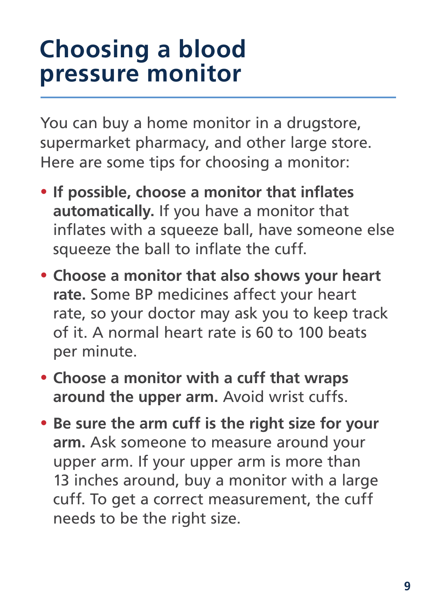### **Choosing a blood pressure monitor**

You can buy a home monitor in a drugstore, supermarket pharmacy, and other large store. Here are some tips for choosing a monitor:

- **If possible, choose a monitor that inflates automatically.** If you have a monitor that inflates with a squeeze ball, have someone else squeeze the ball to inflate the cuff.
- **Choose a monitor that also shows your heart rate.** Some BP medicines affect your heart rate, so your doctor may ask you to keep track of it. A normal heart rate is 60 to 100 beats per minute.
- **Choose a monitor with a cuff that wraps around the upper arm.** Avoid wrist cuffs.
- **Be sure the arm cuff is the right size for your arm.** Ask someone to measure around your upper arm. If your upper arm is more than 13 inches around, buy a monitor with a large cuff. To get a correct measurement, the cuff needs to be the right size.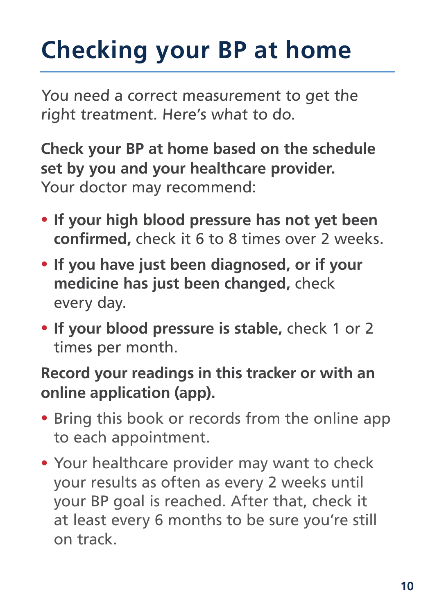## **Checking your BP at home**

You need a correct measurement to get the right treatment. Here's what to do.

**Check your BP at home based on the schedule set by you and your healthcare provider.** Your doctor may recommend:

- **If your high blood pressure has not yet been confirmed,** check it 6 to 8 times over 2 weeks.
- **If you have just been diagnosed, or if your medicine has just been changed,** check every day.
- **If your blood pressure is stable,** check 1 or 2 times per month.

### **Record your readings in this tracker or with an online application (app).**

- Bring this book or records from the online app to each appointment.
- Your healthcare provider may want to check your results as often as every 2 weeks until your BP goal is reached. After that, check it at least every 6 months to be sure you're still on track.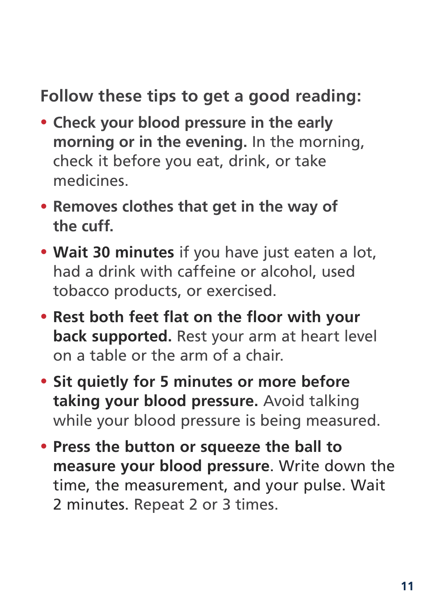### **Follow these tips to get a good reading:**

- **Check your blood pressure in the early morning or in the evening.** In the morning, check it before you eat, drink, or take medicines.
- **Removes clothes that get in the way of the cuff.**
- **Wait 30 minutes** if you have just eaten a lot, had a drink with caffeine or alcohol, used tobacco products, or exercised.
- **Rest both feet flat on the floor with your back supported.** Rest your arm at heart level on a table or the arm of a chair.
- **Sit quietly for 5 minutes or more before taking your blood pressure.** Avoid talking while your blood pressure is being measured.
- **Press the button or squeeze the ball to measure your blood pressure**. Write down the time, the measurement, and your pulse. Wait 2 minutes. Repeat 2 or 3 times.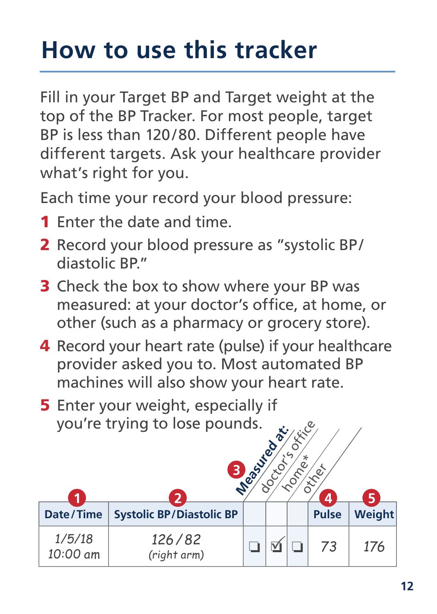## **How to use this tracker**

Fill in your Target BP and Target weight at the top of the BP Tracker. For most people, target BP is less than 120/80. Different people have different targets. Ask your healthcare provider what's right for you.

Each time your record your blood pressure:

- 1 Enter the date and time.
- 2 Record your blood pressure as "systolic BP/ diastolic RP"
- **3** Check the box to show where your BP was measured: at your doctor's office, at home, or other (such as a pharmacy or grocery store).
- 4 Record your heart rate (pulse) if your healthcare provider asked you to. Most automated BP machines will also show your heart rate.
- **5** Enter your weight, especially if you're trying to lose pounds.

| you're trying to lose pounds.<br><b>XXLCC</b><br>Measured<br>∗<br>e<br><b>DECO</b><br>$\mathcal{S}_{\mathcal{S}_{\mathcal{C}}}$<br>4<br>и<br>כי |                                 |  |  |  | 5            |        |
|-------------------------------------------------------------------------------------------------------------------------------------------------|---------------------------------|--|--|--|--------------|--------|
| Date/Time                                                                                                                                       | <b>Systolic BP/Diastolic BP</b> |  |  |  | <b>Pulse</b> | Weight |
| 1/5/18<br>10:00 am                                                                                                                              | 126/82<br>(right arm)           |  |  |  | 73           | 176    |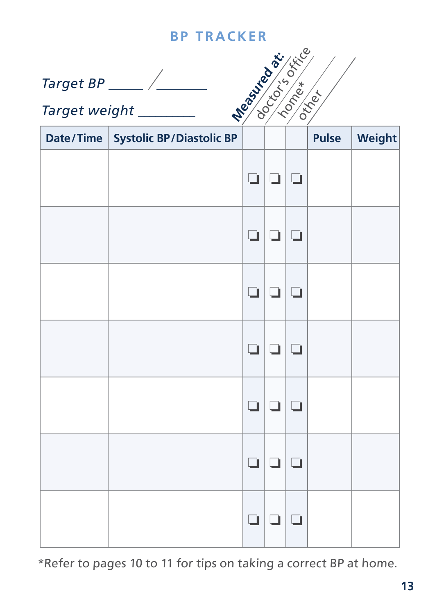*Target BP* 

**designation** 

*Target weight \_\_\_\_\_\_\_\_\_\_* 

| Date/Time   Systolic BP/Diastolic BP |        |               | Pulse | Weight |
|--------------------------------------|--------|---------------|-------|--------|
|                                      |        | ם ום ום       |       |        |
|                                      |        | ם ום ום       |       |        |
|                                      |        | ם ום ום       |       |        |
|                                      | $\Box$ | 00            |       |        |
|                                      | $\Box$ | 00            |       |        |
|                                      | Ō.     | 00            |       |        |
|                                      | ❏      | $\Box   \Box$ |       |        |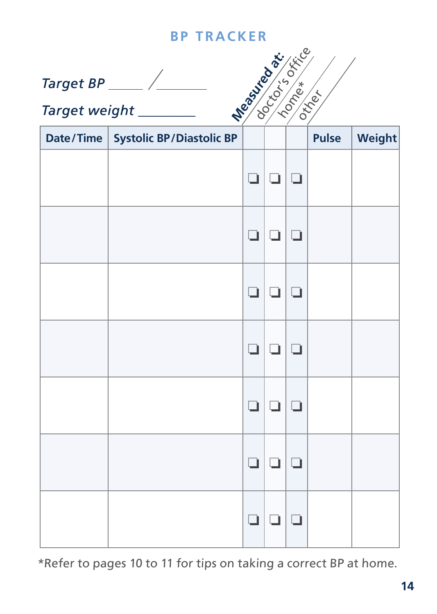*Target BP* 

| <b>New Science</b><br>Target BP _____ $\angle$ _______<br>Target weight _________ |                                      |    |      |        |              |        |  |  |
|-----------------------------------------------------------------------------------|--------------------------------------|----|------|--------|--------------|--------|--|--|
|                                                                                   | Date/Time   Systolic BP/Diastolic BP |    |      |        | <b>Pulse</b> | Weight |  |  |
|                                                                                   |                                      | o. | O.   | 10     |              |        |  |  |
|                                                                                   |                                      | o. | 10.  | $\Box$ |              |        |  |  |
|                                                                                   |                                      | □  | □    |        |              |        |  |  |
|                                                                                   |                                      | o. | ▫    |        |              |        |  |  |
|                                                                                   |                                      | □  | 0    | 10     |              |        |  |  |
|                                                                                   |                                      | o. | 1010 |        |              |        |  |  |
|                                                                                   |                                      | Ĺ, | o.   | $\Box$ |              |        |  |  |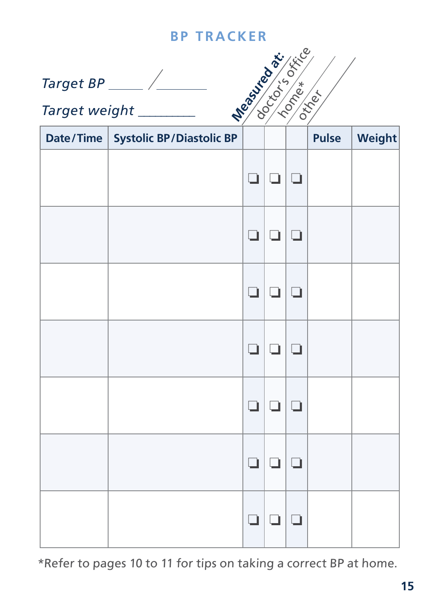*Target BP* 

**deal is of the compact of the compact of the compact of the compact of the compact of the compact of the compa**<br>Measured at the compact of the compact of the compact of the compact of the compact of the compact of the com  $\left\langle \begin{smallmatrix} * & * & * \ * & * & * \ * & * & * \end{smallmatrix} \right\rangle$ 

*Target weight \_\_\_\_\_\_\_\_\_\_* 

| Date/Time   Systolic BP/Diastolic BP |    |           | Pulse | Weight |
|--------------------------------------|----|-----------|-------|--------|
|                                      |    | 9   9   9 |       |        |
|                                      |    | ם ום ום   |       |        |
|                                      |    | ם ום ום   |       |        |
|                                      |    | ם ום ום   |       |        |
|                                      |    | ם ום ום   |       |        |
|                                      | Ō. | 00        |       |        |
|                                      | Ō. | 00        |       |        |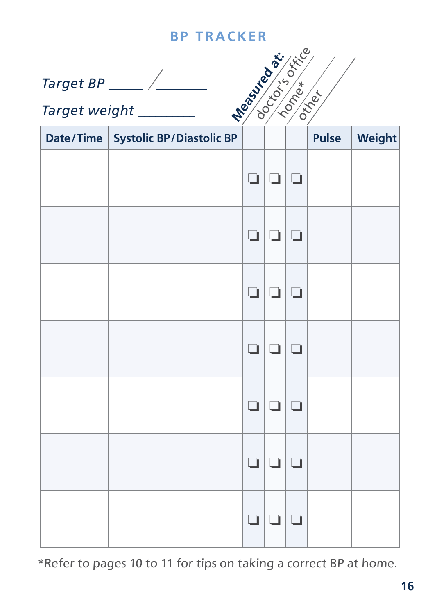*Target BP* 

**deal is of the compact of the compact of the compact of the compact of the compact of the compact of the compa**<br>Measured at the compact of the compact of the compact of the compact of the compact of the compact of the com  $\left\langle \begin{smallmatrix} * & * & * \ * & * & * \ * & * & * \end{smallmatrix} \right\rangle$ 

*Target weight \_\_\_\_\_\_\_\_\_\_* 

| Date/Time   Systolic BP/Diastolic BP |        |               | Pulse | Weight |
|--------------------------------------|--------|---------------|-------|--------|
|                                      |        | ם ום ום       |       |        |
|                                      |        | ם ום ום       |       |        |
|                                      |        | ם ום ום       |       |        |
|                                      | $\Box$ | 00            |       |        |
|                                      | $\Box$ | 00            |       |        |
|                                      | Ō.     | 00            |       |        |
|                                      | ❏      | $\Box   \Box$ |       |        |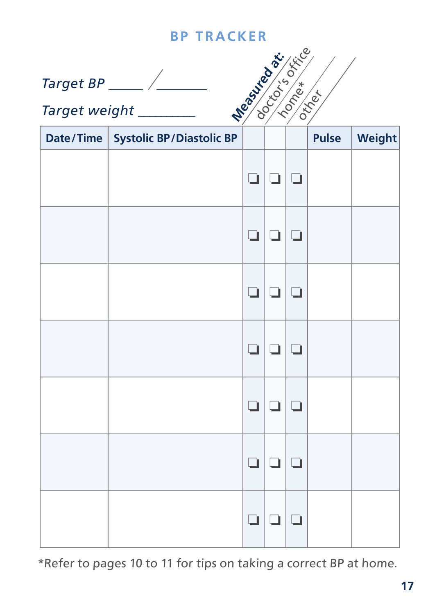*Target BP* 

**deal is of the compact of the compact of the compact of the compact of the compact of the compact of the compa**<br>Measured at the compact of the compact of the compact of the compact of the compact of the compact of the com  $\begin{pmatrix} * & * \ * & * & * \ * & * & * \end{pmatrix}$ 

*Target weight \_\_\_\_\_\_\_\_\_\_* 

| Date/Time   Systolic BP/Diastolic BP |    |           | Pulse | Weight |
|--------------------------------------|----|-----------|-------|--------|
|                                      |    | 9   9   9 |       |        |
|                                      |    | ם ום ום   |       |        |
|                                      |    | ם ום ום   |       |        |
|                                      |    | ם ום ום   |       |        |
|                                      |    | ם ום ום   |       |        |
|                                      | Ō. | 00        |       |        |
|                                      | Ō. | 00        |       |        |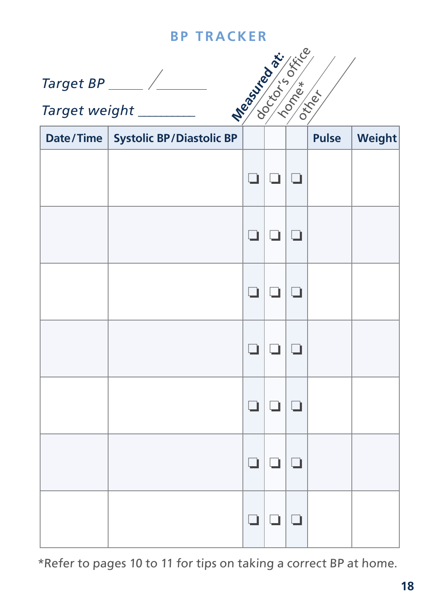*Target BP* 

**designation** 

*Target weight \_\_\_\_\_\_\_\_\_\_* 

| Date/Time   Systolic BP/Diastolic BP |   |         | Pulse | Weight |
|--------------------------------------|---|---------|-------|--------|
|                                      |   | ם ום ום |       |        |
|                                      |   | 999     |       |        |
|                                      |   | ם ום ום |       |        |
|                                      |   | ם ום ום |       |        |
|                                      |   | ם ום ום |       |        |
|                                      |   | ם ום ום |       |        |
|                                      | ❏ | $\Box$  |       |        |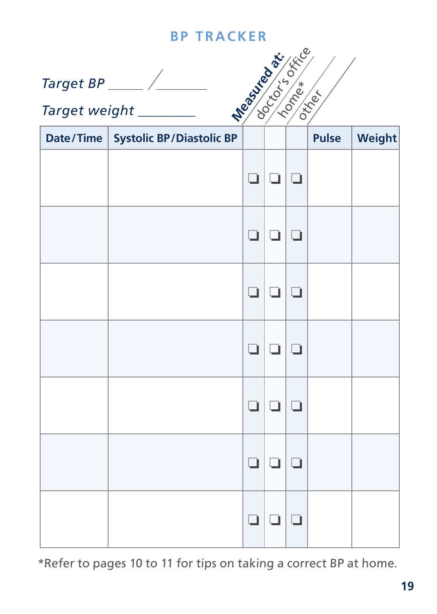*Target BP* 

**designation** 

*Target weight \_\_\_\_\_\_\_\_\_\_* 

| Date/Time   Systolic BP/Diastolic BP |        |               | Pulse | Weight |
|--------------------------------------|--------|---------------|-------|--------|
|                                      |        | 9   9   9     |       |        |
|                                      |        | ם ום ום       |       |        |
|                                      |        | ם ום ום       |       |        |
|                                      |        | ם ום ום       |       |        |
|                                      | $\Box$ | 00            |       |        |
|                                      | Ō.     | 00            |       |        |
|                                      | ❏      | $\Box   \Box$ |       |        |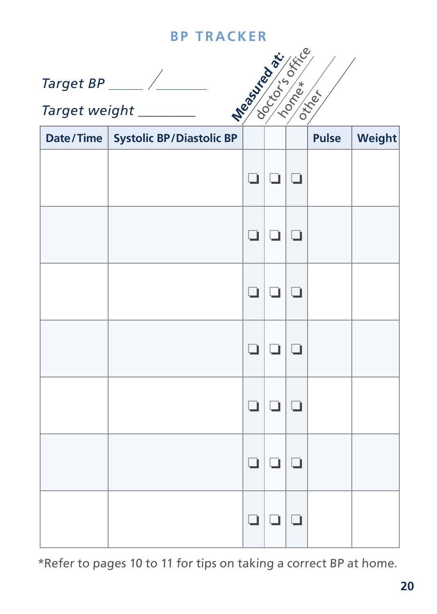*Target BP* 

**deal is of the compact of the compact of the compact of the compact of the compact of the compact of the compa**<br>Measured at the compact of the compact of the compact of the compact of the compact of the compact of the com  $\begin{pmatrix} * & * \ * & * & * \ * & * & * \end{pmatrix}$ 

*Target weight \_\_\_\_\_\_\_\_\_\_* 

| Date/Time   Systolic BP/Diastolic BP |   |         | Pulse | Weight |
|--------------------------------------|---|---------|-------|--------|
|                                      |   | ם ום ום |       |        |
|                                      |   | 999     |       |        |
|                                      |   | ם ום ום |       |        |
|                                      |   | ם ום ום |       |        |
|                                      |   | ם ום ום |       |        |
|                                      |   | ם ום ום |       |        |
|                                      | ❏ | $\Box$  |       |        |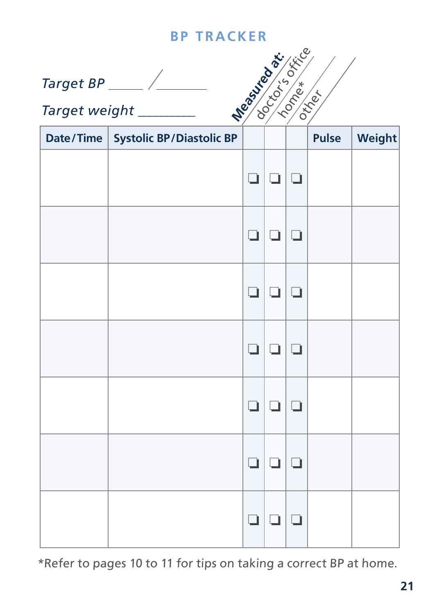*Target BP* 

**designation** 

*Target weight \_\_\_\_\_\_\_\_\_\_* 

| Date/Time   Systolic BP/Diastolic BP |        |               | Pulse | Weight |
|--------------------------------------|--------|---------------|-------|--------|
|                                      |        | ם ום ום       |       |        |
|                                      |        | ם ום ום       |       |        |
|                                      |        | ם ום ום       |       |        |
|                                      | $\Box$ | 00            |       |        |
|                                      | $\Box$ | 00            |       |        |
|                                      | Ō.     | 00            |       |        |
|                                      | ❏      | $\Box   \Box$ |       |        |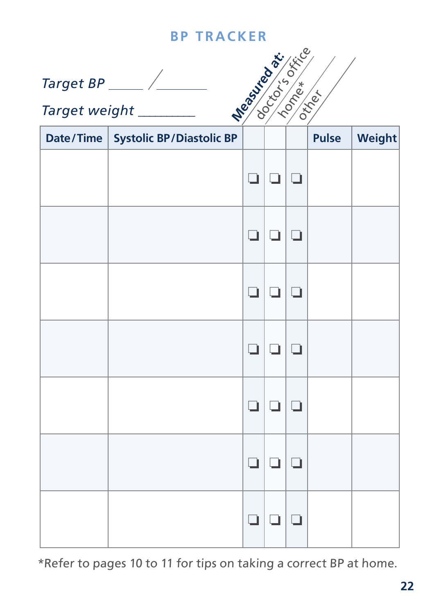*Target BP* 

**deal is of the compact of the compact of the compact of the compact of the compact of the compact of the compa**<br>Measured at the compact of the compact of the compact of the compact of the compact of the compact of the com  $\left\langle \begin{smallmatrix} * & * & * \ * & * & * \ * & * & * \end{smallmatrix} \right\rangle$ 

*Target weight \_\_\_\_\_\_\_\_\_\_* 

| Date/Time   Systolic BP/Diastolic BP |        |               | Pulse | Weight |
|--------------------------------------|--------|---------------|-------|--------|
|                                      |        | ם ום ום       |       |        |
|                                      |        | ם ום ום       |       |        |
|                                      |        | ם ום ום       |       |        |
|                                      | $\Box$ | 00            |       |        |
|                                      | $\Box$ | 00            |       |        |
|                                      | Ō.     | 00            |       |        |
|                                      | ❏      | $\Box   \Box$ |       |        |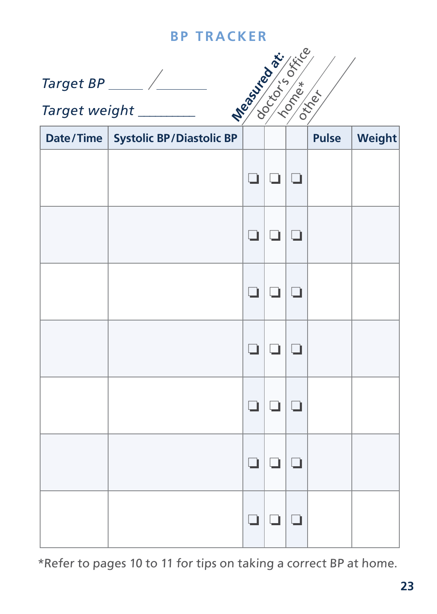*Target BP* 

**designation** 

*Target weight \_\_\_\_\_\_\_\_\_\_* 

| Date/Time   Systolic BP/Diastolic BP |    |           | Pulse | Weight |
|--------------------------------------|----|-----------|-------|--------|
|                                      |    | a   a   a |       |        |
|                                      |    | ם ום ום   |       |        |
|                                      |    | ם ום ום   |       |        |
|                                      |    | ם ום ום   |       |        |
|                                      |    | ם ום ום   |       |        |
|                                      | Ō. | 00        |       |        |
|                                      | Ō. | 00        |       |        |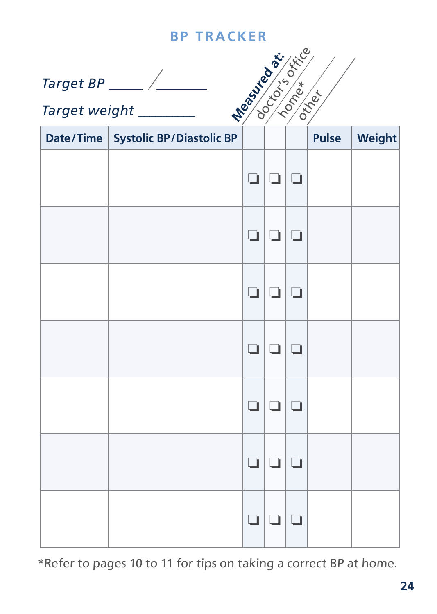*Target BP* 

**designation** 

*Target weight \_\_\_\_\_\_\_\_\_\_* 

| Date/Time   Systolic BP/Diastolic BP |    |           | Pulse | Weight |
|--------------------------------------|----|-----------|-------|--------|
|                                      |    | a   a   a |       |        |
|                                      |    | ם ום ום   |       |        |
|                                      |    | ם ום ום   |       |        |
|                                      |    | ם ום ום   |       |        |
|                                      |    | ם ום ום   |       |        |
|                                      | Ō. | 00        |       |        |
|                                      | Ō. | 00        |       |        |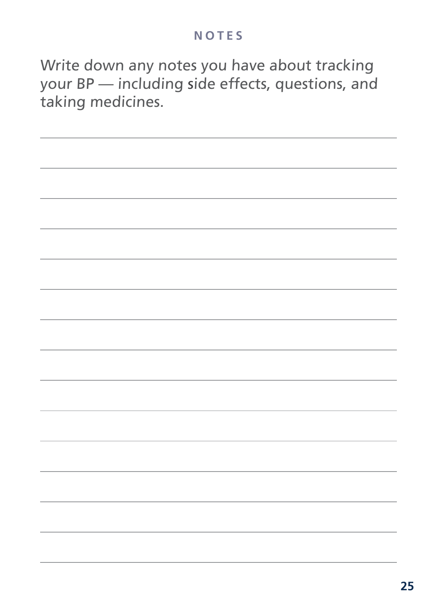#### **NOTES**

Write down any notes you have about tracking your BP — including side effects, questions, and taking medicines.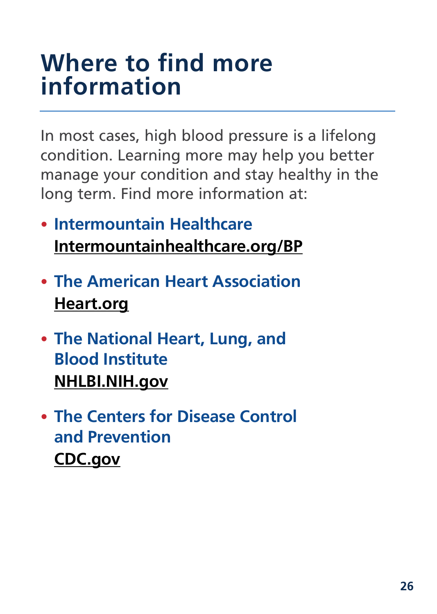### **Where to find more information**

In most cases, high blood pressure is a lifelong condition. Learning more may help you better manage your condition and stay healthy in the long term. Find more information at:

- **Intermountain Healthcare [Intermountainhealthcare.org/BP](http://intermountainhealthcare.org/BP)**
- **[The American Heart Association](http://www.heart.org/HEARTORG/) [Heart.org](http://www.heart.org/HEARTORG/)**
- **The National Heart, Lung, and Blood Institute [NHLBI.NIH.gov](http://www.NHLBI.NIH.gov
)**
- **The Centers for Disease Control and Prevention [CDC.gov](http://CDC.gov)**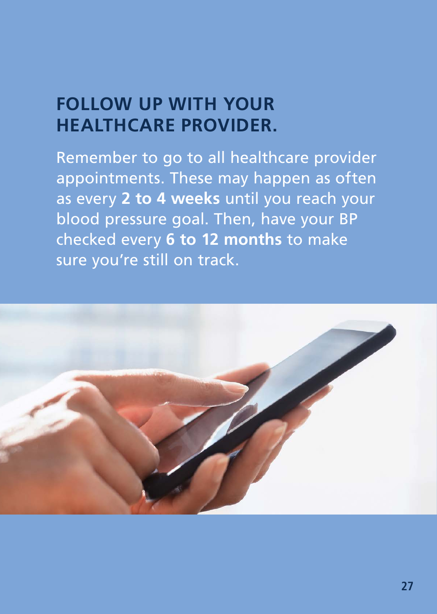### **FOLLOW UP WITH YOUR HEALTHCARE PROVIDER.**

Remember to go to all healthcare provider appointments. These may happen as often as every **2 to 4 weeks** until you reach your blood pressure goal. Then, have your BP checked every **6 to 12 months** to make sure you're still on track.